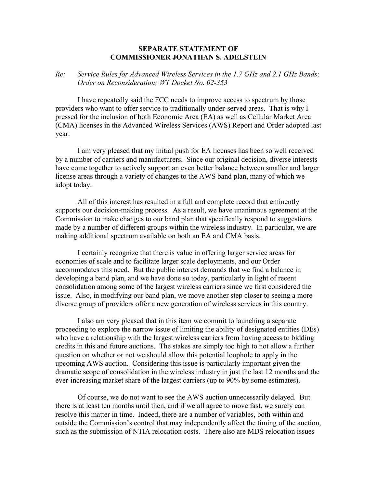## **SEPARATE STATEMENT OF COMMISSIONER JONATHAN S. ADELSTEIN**

## *Re: Service Rules for Advanced Wireless Services in the 1.7 GHz and 2.1 GHz Bands; Order on Reconsideration; WT Docket No. 02-353*

I have repeatedly said the FCC needs to improve access to spectrum by those providers who want to offer service to traditionally under-served areas. That is why I pressed for the inclusion of both Economic Area (EA) as well as Cellular Market Area (CMA) licenses in the Advanced Wireless Services (AWS) Report and Order adopted last year.

I am very pleased that my initial push for EA licenses has been so well received by a number of carriers and manufacturers. Since our original decision, diverse interests have come together to actively support an even better balance between smaller and larger license areas through a variety of changes to the AWS band plan, many of which we adopt today.

All of this interest has resulted in a full and complete record that eminently supports our decision-making process. As a result, we have unanimous agreement at the Commission to make changes to our band plan that specifically respond to suggestions made by a number of different groups within the wireless industry. In particular, we are making additional spectrum available on both an EA and CMA basis.

I certainly recognize that there is value in offering larger service areas for economies of scale and to facilitate larger scale deployments, and our Order accommodates this need. But the public interest demands that we find a balance in developing a band plan, and we have done so today, particularly in light of recent consolidation among some of the largest wireless carriers since we first considered the issue. Also, in modifying our band plan, we move another step closer to seeing a more diverse group of providers offer a new generation of wireless services in this country.

 I also am very pleased that in this item we commit to launching a separate proceeding to explore the narrow issue of limiting the ability of designated entities (DEs) who have a relationship with the largest wireless carriers from having access to bidding credits in this and future auctions. The stakes are simply too high to not allow a further question on whether or not we should allow this potential loophole to apply in the upcoming AWS auction. Considering this issue is particularly important given the dramatic scope of consolidation in the wireless industry in just the last 12 months and the ever-increasing market share of the largest carriers (up to 90% by some estimates).

Of course, we do not want to see the AWS auction unnecessarily delayed. But there is at least ten months until then, and if we all agree to move fast, we surely can resolve this matter in time. Indeed, there are a number of variables, both within and outside the Commission's control that may independently affect the timing of the auction, such as the submission of NTIA relocation costs. There also are MDS relocation issues